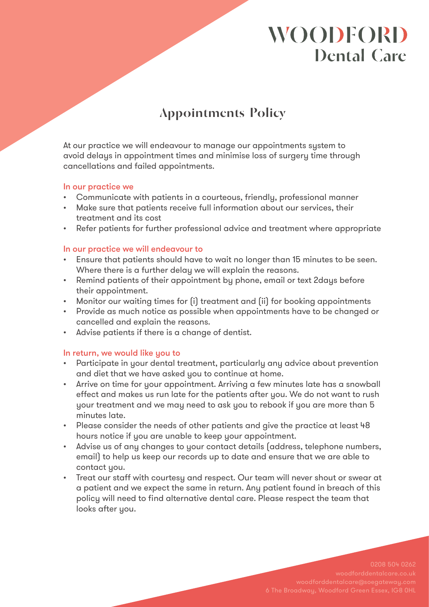# **WOODFORD Dental Care**

## **Appointments Policy**

At our practice we will endeavour to manage our appointments system to avoid delays in appointment times and minimise loss of surgery time through cancellations and failed appointments.

### In our practice we

- • Communicate with patients in a courteous, friendly, professional manner
- • Make sure that patients receive full information about our services, their treatment and its cost
- Refer patients for further professional advice and treatment where appropriate

### In our practice we will endeavour to

- Ensure that patients should have to wait no longer than 15 minutes to be seen. Where there is a further delay we will explain the reasons.
- • Remind patients of their appointment by phone, email or text 2days before their appointment.
- Monitor our waiting times for (i) treatment and (ii) for booking appointments
- • Provide as much notice as possible when appointments have to be changed or cancelled and explain the reasons.
- • Advise patients if there is a change of dentist.

### In return, we would like you to

- Participate in your dental treatment, particularly any advice about prevention and diet that we have asked you to continue at home.
- • Arrive on time for your appointment. Arriving a few minutes late has a snowball effect and makes us run late for the patients after you. We do not want to rush your treatment and we may need to ask you to rebook if you are more than 5 minutes late.
- Please consider the needs of other patients and give the practice at least 48 hours notice if you are unable to keep your appointment.
- • Advise us of any changes to your contact details (address, telephone numbers, email) to help us keep our records up to date and ensure that we are able to contact you.
- Treat our staff with courtesy and respect. Our team will never shout or swear at a patient and we expect the same in return. Any patient found in breach of this policy will need to find alternative dental care. Please respect the team that looks after you.